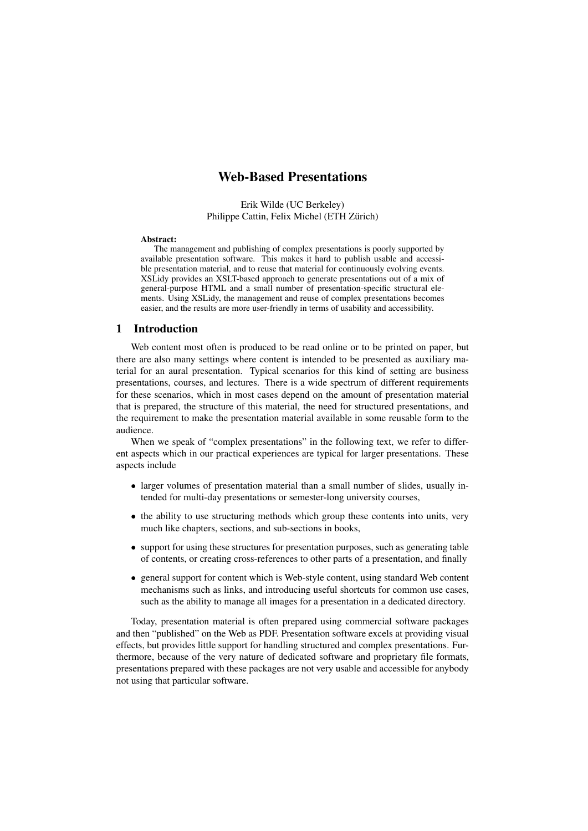# Web-Based Presentations

Erik Wilde (UC Berkeley) Philippe Cattin, Felix Michel (ETH Zurich) ¨

#### Abstract:

The management and publishing of complex presentations is poorly supported by available presentation software. This makes it hard to publish usable and accessible presentation material, and to reuse that material for continuously evolving events. XSLidy provides an XSLT-based approach to generate presentations out of a mix of general-purpose HTML and a small number of presentation-specific structural elements. Using XSLidy, the management and reuse of complex presentations becomes easier, and the results are more user-friendly in terms of usability and accessibility.

#### 1 Introduction

Web content most often is produced to be read online or to be printed on paper, but there are also many settings where content is intended to be presented as auxiliary material for an aural presentation. Typical scenarios for this kind of setting are business presentations, courses, and lectures. There is a wide spectrum of different requirements for these scenarios, which in most cases depend on the amount of presentation material that is prepared, the structure of this material, the need for structured presentations, and the requirement to make the presentation material available in some reusable form to the audience.

When we speak of "complex presentations" in the following text, we refer to different aspects which in our practical experiences are typical for larger presentations. These aspects include

- larger volumes of presentation material than a small number of slides, usually intended for multi-day presentations or semester-long university courses,
- the ability to use structuring methods which group these contents into units, very much like chapters, sections, and sub-sections in books,
- support for using these structures for presentation purposes, such as generating table of contents, or creating cross-references to other parts of a presentation, and finally
- general support for content which is Web-style content, using standard Web content mechanisms such as links, and introducing useful shortcuts for common use cases, such as the ability to manage all images for a presentation in a dedicated directory.

Today, presentation material is often prepared using commercial software packages and then "published" on the Web as PDF. Presentation software excels at providing visual effects, but provides little support for handling structured and complex presentations. Furthermore, because of the very nature of dedicated software and proprietary file formats, presentations prepared with these packages are not very usable and accessible for anybody not using that particular software.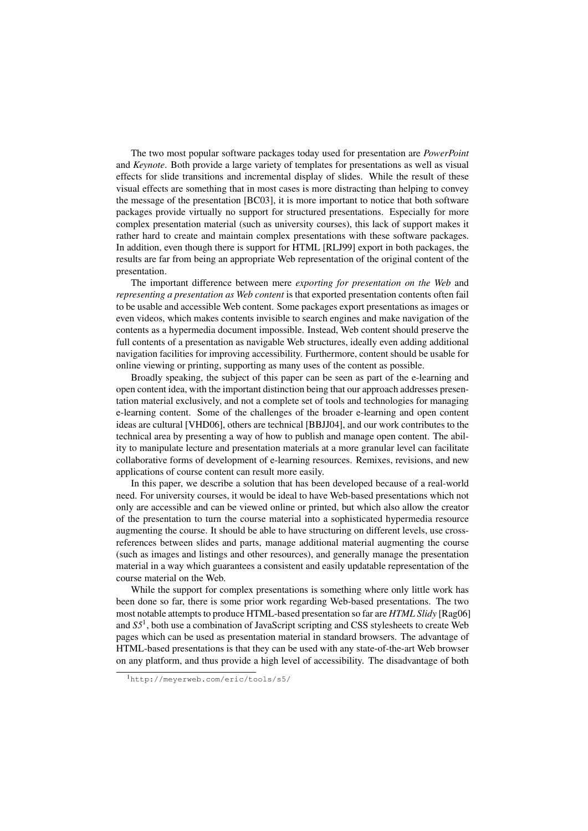The two most popular software packages today used for presentation are *PowerPoint* and *Keynote*. Both provide a large variety of templates for presentations as well as visual effects for slide transitions and incremental display of slides. While the result of these visual effects are something that in most cases is more distracting than helping to convey the message of the presentation [\[BC03\]](#page-11-0), it is more important to notice that both software packages provide virtually no support for structured presentations. Especially for more complex presentation material (such as university courses), this lack of support makes it rather hard to create and maintain complex presentations with these software packages. In addition, even though there is support for HTML [\[RLJ99\]](#page-11-0) export in both packages, the results are far from being an appropriate Web representation of the original content of the presentation.

The important difference between mere *exporting for presentation on the Web* and *representing a presentation as Web content* is that exported presentation contents often fail to be usable and accessible Web content. Some packages export presentations as images or even videos, which makes contents invisible to search engines and make navigation of the contents as a hypermedia document impossible. Instead, Web content should preserve the full contents of a presentation as navigable Web structures, ideally even adding additional navigation facilities for improving accessibility. Furthermore, content should be usable for online viewing or printing, supporting as many uses of the content as possible.

Broadly speaking, the subject of this paper can be seen as part of the e-learning and open content idea, with the important distinction being that our approach addresses presentation material exclusively, and not a complete set of tools and technologies for managing e-learning content. Some of the challenges of the broader e-learning and open content ideas are cultural [\[VHD06\]](#page-11-0), others are technical [\[BBJJ04\]](#page-10-0), and our work contributes to the technical area by presenting a way of how to publish and manage open content. The ability to manipulate lecture and presentation materials at a more granular level can facilitate collaborative forms of development of e-learning resources. Remixes, revisions, and new applications of course content can result more easily.

In this paper, we describe a solution that has been developed because of a real-world need. For university courses, it would be ideal to have Web-based presentations which not only are accessible and can be viewed online or printed, but which also allow the creator of the presentation to turn the course material into a sophisticated hypermedia resource augmenting the course. It should be able to have structuring on different levels, use crossreferences between slides and parts, manage additional material augmenting the course (such as images and listings and other resources), and generally manage the presentation material in a way which guarantees a consistent and easily updatable representation of the course material on the Web.

While the support for complex presentations is something where only little work has been done so far, there is some prior work regarding Web-based presentations. The two most notable attempts to produce HTML-based presentation so far are *HTML Slidy* [\[Rag06\]](#page-11-0) and *S5*<sup>1</sup> , both use a combination of JavaScript scripting and CSS stylesheets to create Web pages which can be used as presentation material in standard browsers. The advantage of HTML-based presentations is that they can be used with any state-of-the-art Web browser on any platform, and thus provide a high level of accessibility. The disadvantage of both

<sup>1</sup><http://meyerweb.com/eric/tools/s5/>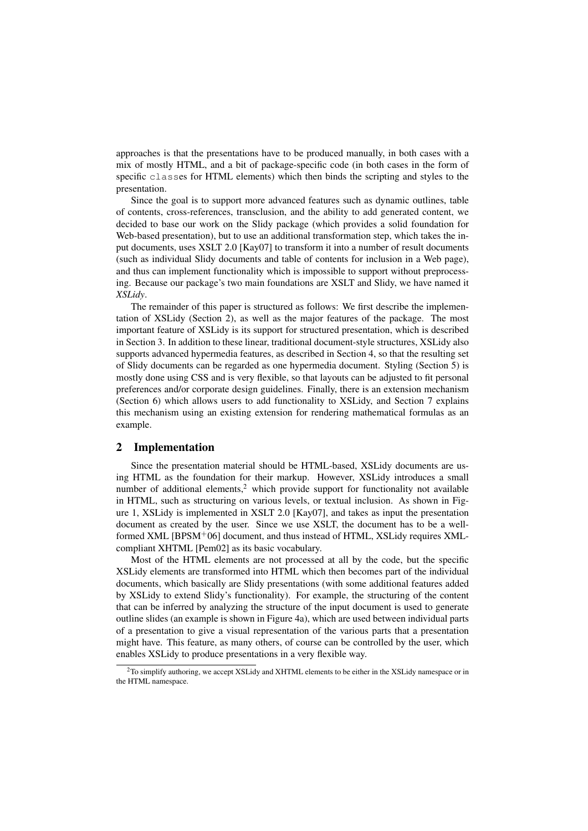approaches is that the presentations have to be produced manually, in both cases with a mix of mostly HTML, and a bit of package-specific code (in both cases in the form of specific classes for HTML elements) which then binds the scripting and styles to the presentation.

Since the goal is to support more advanced features such as dynamic outlines, table of contents, cross-references, transclusion, and the ability to add generated content, we decided to base our work on the Slidy package (which provides a solid foundation for Web-based presentation), but to use an additional transformation step, which takes the input documents, uses XSLT 2.0 [\[Kay07\]](#page-11-0) to transform it into a number of result documents (such as individual Slidy documents and table of contents for inclusion in a Web page), and thus can implement functionality which is impossible to support without preprocessing. Because our package's two main foundations are XSLT and Slidy, we have named it *XSLidy*.

The remainder of this paper is structured as follows: We first describe the implementation of XSLidy (Section 2), as well as the major features of the package. The most important feature of XSLidy is its support for structured presentation, which is described in Section [3.](#page-4-0) In addition to these linear, traditional document-style structures, XSLidy also supports advanced hypermedia features, as described in Section [4,](#page-6-0) so that the resulting set of Slidy documents can be regarded as one hypermedia document. Styling (Section [5\)](#page-8-0) is mostly done using CSS and is very flexible, so that layouts can be adjusted to fit personal preferences and/or corporate design guidelines. Finally, there is an extension mechanism (Section [6\)](#page-8-0) which allows users to add functionality to XSLidy, and Section [7](#page-8-0) explains this mechanism using an existing extension for rendering mathematical formulas as an example.

## 2 Implementation

Since the presentation material should be HTML-based, XSLidy documents are using HTML as the foundation for their markup. However, XSLidy introduces a small number of additional elements, $2$  which provide support for functionality not available in HTML, such as structuring on various levels, or textual inclusion. As shown in Figure [1,](#page-3-0) XSLidy is implemented in XSLT 2.0 [\[Kay07\]](#page-11-0), and takes as input the presentation document as created by the user. Since we use XSLT, the document has to be a wellformed XML [\[BPSM](#page-11-0)<sup>+</sup>06] document, and thus instead of HTML, XSLidy requires XMLcompliant XHTML [\[Pem02\]](#page-11-0) as its basic vocabulary.

Most of the HTML elements are not processed at all by the code, but the specific XSLidy elements are transformed into HTML which then becomes part of the individual documents, which basically are Slidy presentations (with some additional features added by XSLidy to extend Slidy's functionality). For example, the structuring of the content that can be inferred by analyzing the structure of the input document is used to generate outline slides (an example is shown in Figure [4a](#page-6-0)), which are used between individual parts of a presentation to give a visual representation of the various parts that a presentation might have. This feature, as many others, of course can be controlled by the user, which enables XSLidy to produce presentations in a very flexible way.

 $2$ To simplify authoring, we accept XSLidy and XHTML elements to be either in the XSLidy namespace or in the HTML namespace.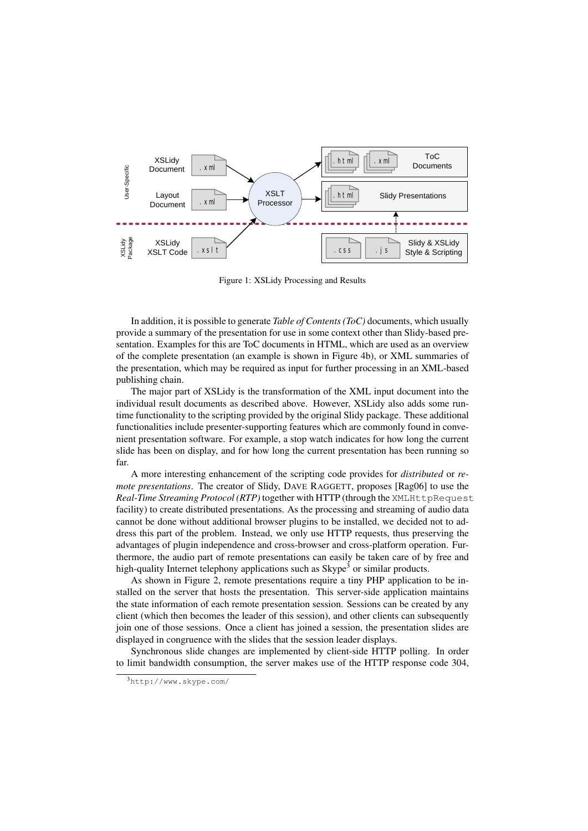<span id="page-3-0"></span>

Figure 1: XSLidy Processing and Results

In addition, it is possible to generate *Table of Contents (ToC)* documents, which usually provide a summary of the presentation for use in some context other than Slidy-based presentation. Examples for this are ToC documents in HTML, which are used as an overview of the complete presentation (an example is shown in Figure [4b](#page-6-0)), or XML summaries of the presentation, which may be required as input for further processing in an XML-based publishing chain.

The major part of XSLidy is the transformation of the XML input document into the individual result documents as described above. However, XSLidy also adds some runtime functionality to the scripting provided by the original Slidy package. These additional functionalities include presenter-supporting features which are commonly found in convenient presentation software. For example, a stop watch indicates for how long the current slide has been on display, and for how long the current presentation has been running so far.

A more interesting enhancement of the scripting code provides for *distributed* or *remote presentations*. The creator of Slidy, DAVE RAGGETT, proposes [\[Rag06\]](#page-11-0) to use the *Real-Time Streaming Protocol (RTP)* together with HTTP (through the XMLHttpRequest facility) to create distributed presentations. As the processing and streaming of audio data cannot be done without additional browser plugins to be installed, we decided not to address this part of the problem. Instead, we only use HTTP requests, thus preserving the advantages of plugin independence and cross-browser and cross-platform operation. Furthermore, the audio part of remote presentations can easily be taken care of by free and high-quality Internet telephony applications such as  $\text{Skype}^3$  or similar products.

As shown in Figure [2,](#page-4-0) remote presentations require a tiny PHP application to be installed on the server that hosts the presentation. This server-side application maintains the state information of each remote presentation session. Sessions can be created by any client (which then becomes the leader of this session), and other clients can subsequently join one of those sessions. Once a client has joined a session, the presentation slides are displayed in congruence with the slides that the session leader displays.

Synchronous slide changes are implemented by client-side HTTP polling. In order to limit bandwidth consumption, the server makes use of the HTTP response code 304,

<sup>3</sup><http://www.skype.com/>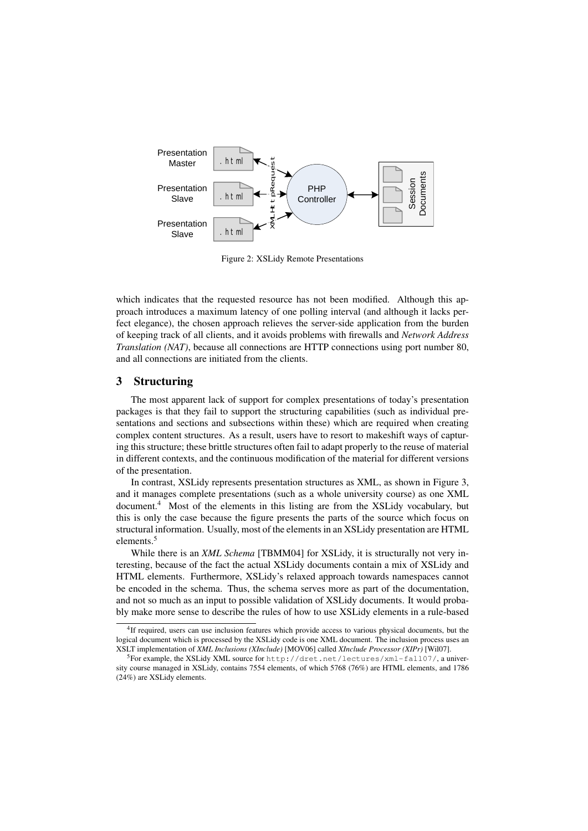<span id="page-4-0"></span>

Figure 2: XSLidy Remote Presentations

which indicates that the requested resource has not been modified. Although this approach introduces a maximum latency of one polling interval (and although it lacks perfect elegance), the chosen approach relieves the server-side application from the burden of keeping track of all clients, and it avoids problems with firewalls and *Network Address Translation (NAT)*, because all connections are HTTP connections using port number 80, and all connections are initiated from the clients.

#### 3 Structuring

The most apparent lack of support for complex presentations of today's presentation packages is that they fail to support the structuring capabilities (such as individual presentations and sections and subsections within these) which are required when creating complex content structures. As a result, users have to resort to makeshift ways of capturing this structure; these brittle structures often fail to adapt properly to the reuse of material in different contexts, and the continuous modification of the material for different versions of the presentation.

In contrast, XSLidy represents presentation structures as XML, as shown in Figure [3,](#page-5-0) and it manages complete presentations (such as a whole university course) as one XML document.<sup>4</sup> Most of the elements in this listing are from the XSLidy vocabulary, but this is only the case because the figure presents the parts of the source which focus on structural information. Usually, most of the elements in an XSLidy presentation are HTML elements.<sup>5</sup>

While there is an *XML Schema* [\[TBMM04\]](#page-11-0) for XSLidy, it is structurally not very interesting, because of the fact the actual XSLidy documents contain a mix of XSLidy and HTML elements. Furthermore, XSLidy's relaxed approach towards namespaces cannot be encoded in the schema. Thus, the schema serves more as part of the documentation, and not so much as an input to possible validation of XSLidy documents. It would probably make more sense to describe the rules of how to use XSLidy elements in a rule-based

<sup>4</sup> If required, users can use inclusion features which provide access to various physical documents, but the logical document which is processed by the XSLidy code is one XML document. The inclusion process uses an XSLT implementation of *XML Inclusions (XInclude)* [\[MOV06\]](#page-11-0) called *XInclude Processor (XIPr)* [\[Wil07\]](#page-11-0).

 $^5$ For example, the XSLidy XML source for  $http://dret.net/lectures/xml-fall07/,$  $http://dret.net/lectures/xml-fall07/,$  a university course managed in XSLidy, contains 7554 elements, of which 5768 (76%) are HTML elements, and 1786 (24%) are XSLidy elements.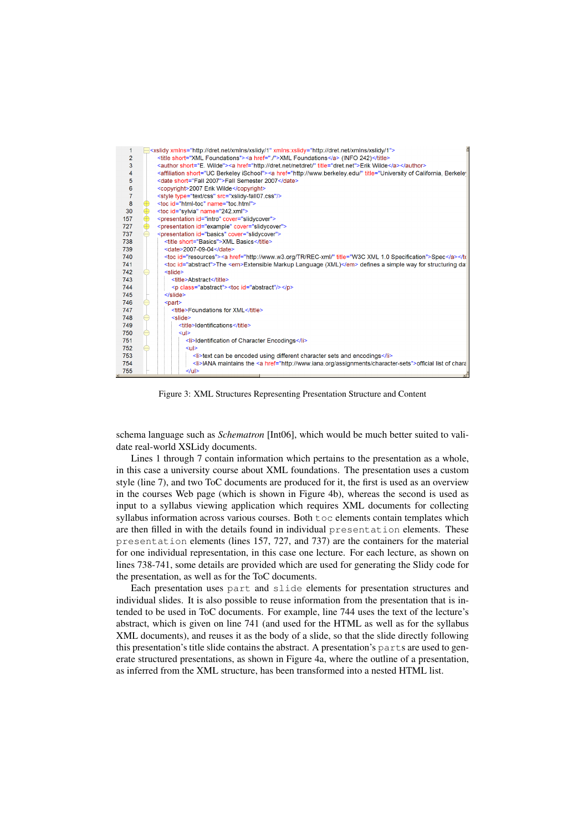<span id="page-5-0"></span>

Figure 3: XML Structures Representing Presentation Structure and Content

schema language such as *Schematron* [\[Int06\]](#page-11-0), which would be much better suited to validate real-world XSLidy documents.

Lines 1 through 7 contain information which pertains to the presentation as a whole, in this case a university course about XML foundations. The presentation uses a custom style (line 7), and two ToC documents are produced for it, the first is used as an overview in the courses Web page (which is shown in Figure [4b](#page-6-0)), whereas the second is used as input to a syllabus viewing application which requires XML documents for collecting syllabus information across various courses. Both toc elements contain templates which are then filled in with the details found in individual presentation elements. These presentation elements (lines 157, 727, and 737) are the containers for the material for one individual representation, in this case one lecture. For each lecture, as shown on lines 738-741, some details are provided which are used for generating the Slidy code for the presentation, as well as for the ToC documents.

Each presentation uses part and slide elements for presentation structures and individual slides. It is also possible to reuse information from the presentation that is intended to be used in ToC documents. For example, line 744 uses the text of the lecture's abstract, which is given on line 741 (and used for the HTML as well as for the syllabus XML documents), and reuses it as the body of a slide, so that the slide directly following this presentation's title slide contains the abstract. A presentation's parts are used to generate structured presentations, as shown in Figure [4a](#page-6-0), where the outline of a presentation, as inferred from the XML structure, has been transformed into a nested HTML list.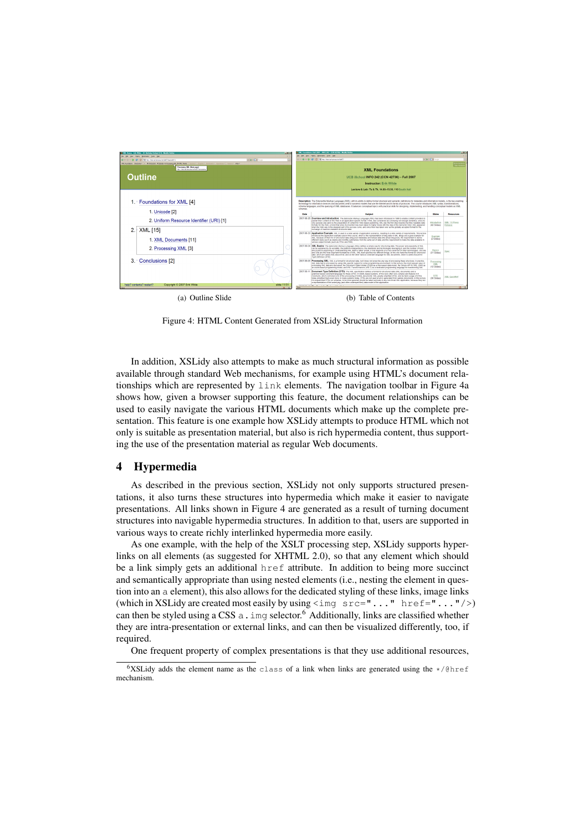<span id="page-6-0"></span>

Figure 4: HTML Content Generated from XSLidy Structural Information

In addition, XSLidy also attempts to make as much structural information as possible available through standard Web mechanisms, for example using HTML's document relationships which are represented by link elements. The navigation toolbar in Figure 4a shows how, given a browser supporting this feature, the document relationships can be used to easily navigate the various HTML documents which make up the complete presentation. This feature is one example how XSLidy attempts to produce HTML which not only is suitable as presentation material, but also is rich hypermedia content, thus supporting the use of the presentation material as regular Web documents.

#### 4 Hypermedia

As described in the previous section, XSLidy not only supports structured presentations, it also turns these structures into hypermedia which make it easier to navigate presentations. All links shown in Figure 4 are generated as a result of turning document structures into navigable hypermedia structures. In addition to that, users are supported in various ways to create richly interlinked hypermedia more easily.

As one example, with the help of the XSLT processing step, XSLidy supports hyperlinks on all elements (as suggested for XHTML 2.0), so that any element which should be a link simply gets an additional href attribute. In addition to being more succinct and semantically appropriate than using nested elements (i.e., nesting the element in question into an a element), this also allows for the dedicated styling of these links, image links (which in XSLidy are created most easily by using  $\leq$  img  $src = "..."$  href="..."/>) can then be styled using a CSS  $a$ . img selector.<sup>6</sup> Additionally, links are classified whether they are intra-presentation or external links, and can then be visualized differently, too, if required.

One frequent property of complex presentations is that they use additional resources,

<sup>&</sup>lt;sup>6</sup>XSLidy adds the element name as the class of a link when links are generated using the  $\star$ /@href mechanism.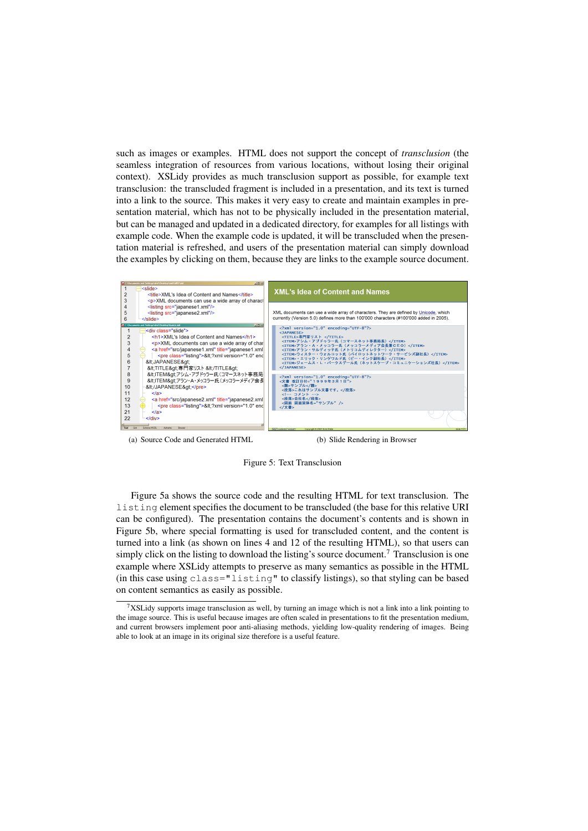such as images or examples. HTML does not support the concept of *transclusion* (the seamless integration of resources from various locations, without losing their original context). XSLidy provides as much transclusion support as possible, for example text transclusion: the transcluded fragment is included in a presentation, and its text is turned into a link to the source. This makes it very easy to create and maintain examples in presentation material, which has not to be physically included in the presentation material, but can be managed and updated in a dedicated directory, for examples for all listings with example code. When the example code is updated, it will be transcluded when the presentation material is refreshed, and users of the presentation material can simply download the examples by clicking on them, because they are links to the example source document.



(a) Source Code and Generated HTML (b) Slide Rendering in Browser

Figure 5: Text Transclusion

Figure 5a shows the source code and the resulting HTML for text transclusion. The listing element specifies the document to be transcluded (the base for this relative URI can be configured). The presentation contains the document's contents and is shown in Figure 5b, where special formatting is used for transcluded content, and the content is turned into a link (as shown on lines 4 and 12 of the resulting HTML), so that users can simply click on the listing to download the listing's source document.<sup>7</sup> Transclusion is one example where XSLidy attempts to preserve as many semantics as possible in the HTML (in this case using class="listing" to classify listings), so that styling can be based on content semantics as easily as possible.

 $7XSLidy$  supports image transclusion as well, by turning an image which is not a link into a link pointing to the image source. This is useful because images are often scaled in presentations to fit the presentation medium, and current browsers implement poor anti-aliasing methods, yielding low-quality rendering of images. Being able to look at an image in its original size therefore is a useful feature.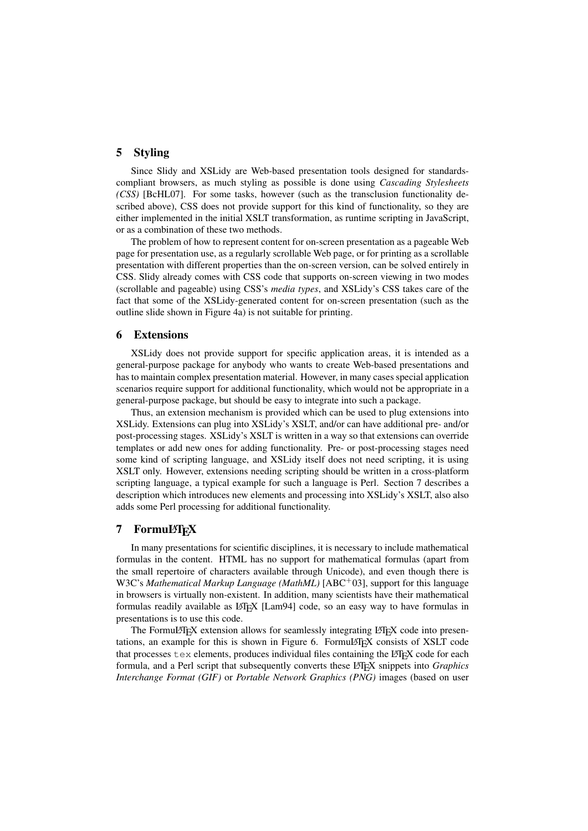#### <span id="page-8-0"></span>5 Styling

Since Slidy and XSLidy are Web-based presentation tools designed for standardscompliant browsers, as much styling as possible is done using *Cascading Stylesheets (CSS)* [\[BcHL07\]](#page-11-0). For some tasks, however (such as the transclusion functionality described above), CSS does not provide support for this kind of functionality, so they are either implemented in the initial XSLT transformation, as runtime scripting in JavaScript, or as a combination of these two methods.

The problem of how to represent content for on-screen presentation as a pageable Web page for presentation use, as a regularly scrollable Web page, or for printing as a scrollable presentation with different properties than the on-screen version, can be solved entirely in CSS. Slidy already comes with CSS code that supports on-screen viewing in two modes (scrollable and pageable) using CSS's *media types*, and XSLidy's CSS takes care of the fact that some of the XSLidy-generated content for on-screen presentation (such as the outline slide shown in Figure [4a](#page-6-0)) is not suitable for printing.

#### 6 Extensions

XSLidy does not provide support for specific application areas, it is intended as a general-purpose package for anybody who wants to create Web-based presentations and has to maintain complex presentation material. However, in many cases special application scenarios require support for additional functionality, which would not be appropriate in a general-purpose package, but should be easy to integrate into such a package.

Thus, an extension mechanism is provided which can be used to plug extensions into XSLidy. Extensions can plug into XSLidy's XSLT, and/or can have additional pre- and/or post-processing stages. XSLidy's XSLT is written in a way so that extensions can override templates or add new ones for adding functionality. Pre- or post-processing stages need some kind of scripting language, and XSLidy itself does not need scripting, it is using XSLT only. However, extensions needing scripting should be written in a cross-platform scripting language, a typical example for such a language is Perl. Section 7 describes a description which introduces new elements and processing into XSLidy's XSLT, also also adds some Perl processing for additional functionality.

## 7 FormuL'FEX

In many presentations for scientific disciplines, it is necessary to include mathematical formulas in the content. HTML has no support for mathematical formulas (apart from the small repertoire of characters available through Unicode), and even though there is W3C's *Mathematical Markup Language (MathML)* [\[ABC](#page-10-0)<sup>+</sup>03], support for this language in browsers is virtually non-existent. In addition, many scientists have their mathematical formulas readily available as LATEX [\[Lam94\]](#page-11-0) code, so an easy way to have formulas in presentations is to use this code.

The FormuLAT<sub>EX</sub> extension allows for seamlessly integrating LAT<sub>EX</sub> code into presentations, an example for this is shown in Figure [6.](#page-9-0) FormuLATEX consists of XSLT code that processes  $\text{tex}$  elements, produces individual files containing the LATEX code for each formula, and a Perl script that subsequently converts these LATEX snippets into *Graphics Interchange Format (GIF)* or *Portable Network Graphics (PNG)* images (based on user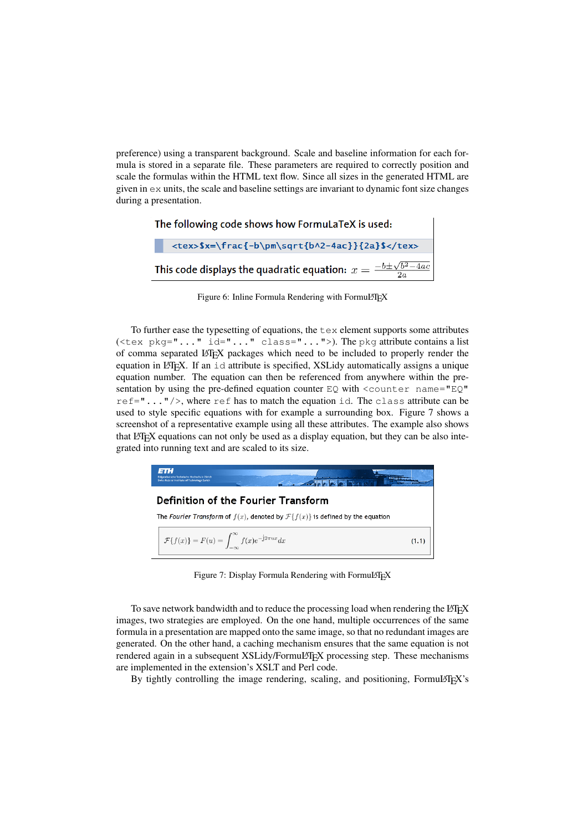<span id="page-9-0"></span>preference) using a transparent background. Scale and baseline information for each formula is stored in a separate file. These parameters are required to correctly position and scale the formulas within the HTML text flow. Since all sizes in the generated HTML are given in ex units, the scale and baseline settings are invariant to dynamic font size changes during a presentation.

| The following code shows how FormuLaTeX is used:                                  |                                                 |  |
|-----------------------------------------------------------------------------------|-------------------------------------------------|--|
|                                                                                   | <tex>\$x=\frac{-b\pm\sqrt{b^2-4ac}}{2a}\$</tex> |  |
| This code displays the quadratic equation: $x = \frac{-b \pm \sqrt{b^2-4ac}}{2a}$ |                                                 |  |

Figure 6: Inline Formula Rendering with FormuLTEX

To further ease the typesetting of equations, the tex element supports some attributes (<tex  $pkg = "... " id = "... " class = "... " >).$  The pkg attribute contains a list of comma separated LATEX packages which need to be included to properly render the equation in LATEX. If an  $\pm$ d attribute is specified, XSLidy automatically assigns a unique equation number. The equation can then be referenced from anywhere within the presentation by using the pre-defined equation counter  $EQ$  with  $\leq$  counter name="EQ" ref= $\mathbf{r}$ ..."/>, where ref has to match the equation id. The class attribute can be used to style specific equations with for example a surrounding box. Figure 7 shows a screenshot of a representative example using all these attributes. The example also shows that LATEX equations can not only be used as a display equation, but they can be also integrated into running text and are scaled to its size.

| नाः।<br>Eldgenössische Technische Hochschule Zürich<br>Swiss Federal Institute of Technology Zurich |       |  |  |
|-----------------------------------------------------------------------------------------------------|-------|--|--|
| <b>Definition of the Fourier Transform</b>                                                          |       |  |  |
| The Fourier Transform of $f(x)$ , denoted by $\mathcal{F}{f(x)}$ is defined by the equation         |       |  |  |
| $\mathcal{F}{f(x)} = F(u) = \int_{-\infty}^{\infty} f(x)e^{-j2\pi ux}dx$                            | (1.1) |  |  |

Figure 7: Display Formula Rendering with FormuLTEX

To save network bandwidth and to reduce the processing load when rendering the LATEX images, two strategies are employed. On the one hand, multiple occurrences of the same formula in a presentation are mapped onto the same image, so that no redundant images are generated. On the other hand, a caching mechanism ensures that the same equation is not rendered again in a subsequent XSLidy/FormuLATEX processing step. These mechanisms are implemented in the extension's XSLT and Perl code.

By tightly controlling the image rendering, scaling, and positioning, FormuLAT<sub>EX</sub>'s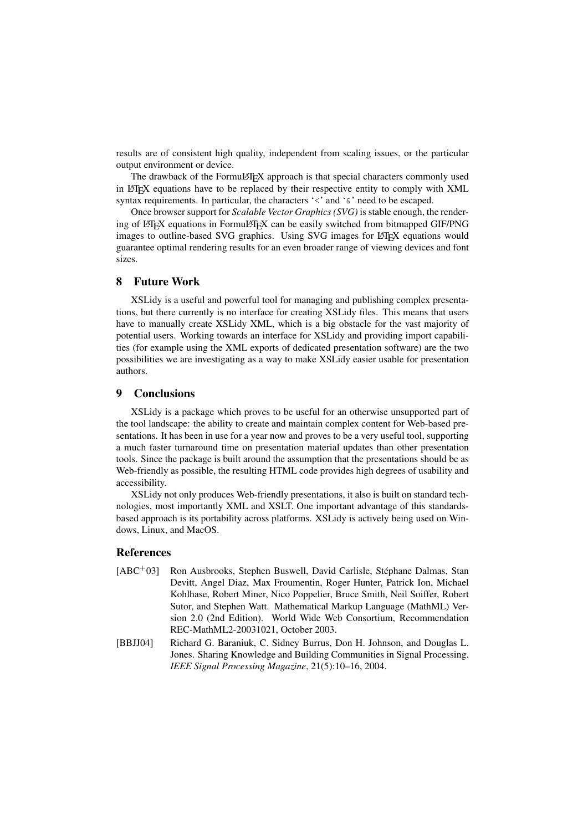<span id="page-10-0"></span>results are of consistent high quality, independent from scaling issues, or the particular output environment or device.

The drawback of the FormuLAT<sub>EX</sub> approach is that special characters commonly used in LATEX equations have to be replaced by their respective entity to comply with XML syntax requirements. In particular, the characters '<' and ' $\&$ ' need to be escaped.

Once browser support for *Scalable Vector Graphics (SVG)* is stable enough, the rendering of LATEX equations in FormuLATEX can be easily switched from bitmapped GIF/PNG images to outline-based SVG graphics. Using SVG images for LATEX equations would guarantee optimal rendering results for an even broader range of viewing devices and font sizes.

#### 8 Future Work

XSLidy is a useful and powerful tool for managing and publishing complex presentations, but there currently is no interface for creating XSLidy files. This means that users have to manually create XSLidy XML, which is a big obstacle for the vast majority of potential users. Working towards an interface for XSLidy and providing import capabilities (for example using the XML exports of dedicated presentation software) are the two possibilities we are investigating as a way to make XSLidy easier usable for presentation authors.

#### 9 Conclusions

XSLidy is a package which proves to be useful for an otherwise unsupported part of the tool landscape: the ability to create and maintain complex content for Web-based presentations. It has been in use for a year now and proves to be a very useful tool, supporting a much faster turnaround time on presentation material updates than other presentation tools. Since the package is built around the assumption that the presentations should be as Web-friendly as possible, the resulting HTML code provides high degrees of usability and accessibility.

XSLidy not only produces Web-friendly presentations, it also is built on standard technologies, most importantly XML and XSLT. One important advantage of this standardsbased approach is its portability across platforms. XSLidy is actively being used on Windows, Linux, and MacOS.

#### References

- [ABC<sup>+</sup>03] Ron Ausbrooks, Stephen Buswell, David Carlisle, Stéphane Dalmas, Stan Devitt, Angel Diaz, Max Froumentin, Roger Hunter, Patrick Ion, Michael Kohlhase, Robert Miner, Nico Poppelier, Bruce Smith, Neil Soiffer, Robert Sutor, and Stephen Watt. Mathematical Markup Language (MathML) Version 2.0 (2nd Edition). World Wide Web Consortium, Recommendation REC-MathML2-20031021, October 2003.
- [BBJJ04] Richard G. Baraniuk, C. Sidney Burrus, Don H. Johnson, and Douglas L. Jones. Sharing Knowledge and Building Communities in Signal Processing. *IEEE Signal Processing Magazine*, 21(5):10–16, 2004.